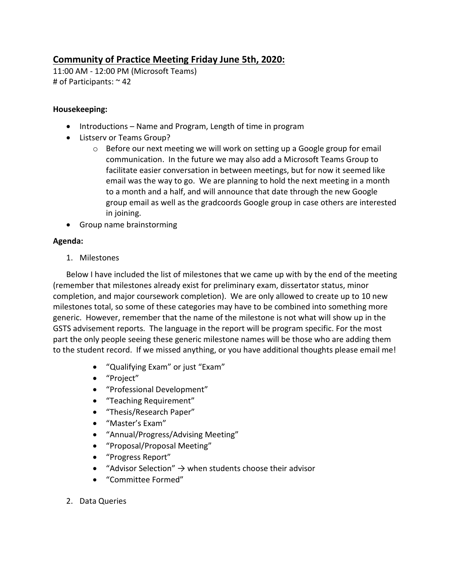## **Community of Practice Meeting Friday June 5th, 2020:**

11:00 AM - 12:00 PM (Microsoft Teams) # of Participants: ~ 42

## **Housekeeping:**

- Introductions Name and Program, Length of time in program
- Listserv or Teams Group?
	- $\circ$  Before our next meeting we will work on setting up a Google group for email communication. In the future we may also add a Microsoft Teams Group to facilitate easier conversation in between meetings, but for now it seemed like email was the way to go. We are planning to hold the next meeting in a month to a month and a half, and will announce that date through the new Google group email as well as the gradcoords Google group in case others are interested in joining.
- Group name brainstorming

## **Agenda:**

1. Milestones

Below I have included the list of milestones that we came up with by the end of the meeting (remember that milestones already exist for preliminary exam, dissertator status, minor completion, and major coursework completion). We are only allowed to create up to 10 new milestones total, so some of these categories may have to be combined into something more generic. However, remember that the name of the milestone is not what will show up in the GSTS advisement reports. The language in the report will be program specific. For the most part the only people seeing these generic milestone names will be those who are adding them to the student record. If we missed anything, or you have additional thoughts please email me!

- "Qualifying Exam" or just "Exam"
- "Project"
- "Professional Development"
- "Teaching Requirement"
- "Thesis/Research Paper"
- "Master's Exam"
- "Annual/Progress/Advising Meeting"
- "Proposal/Proposal Meeting"
- "Progress Report"
- "Advisor Selection"  $\rightarrow$  when students choose their advisor
- "Committee Formed"
- 2. Data Queries